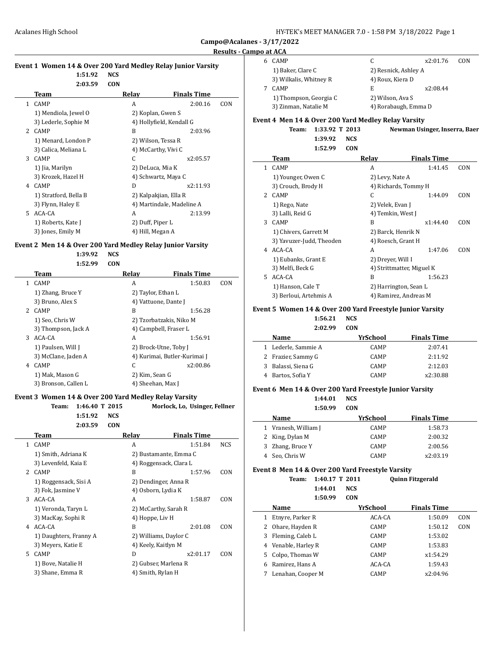L

**Campo@Acalanes - 3/17/2022**

# **Results - Campo at ACA**

| Event 1 Women 14 & Over 200 Yard Medley Relay Junior Varsity |      |       |                    |
|--------------------------------------------------------------|------|-------|--------------------|
| $1:51.92$ NCS                                                |      |       |                    |
| 2:03.59                                                      | CON. |       |                    |
| Team                                                         |      | Relav | <b>Finals Time</b> |

|    | теаш                  | лсіау                     | гицанэ типе |     |
|----|-----------------------|---------------------------|-------------|-----|
|    | CAMP                  | A                         | 2:00.16     | CON |
|    | 1) Mendiola, Jewel O  | 2) Koplan, Gwen S         |             |     |
|    | 3) Lederle, Sophie M  | 4) Hollyfield, Kendall G  |             |     |
|    | 2 CAMP                | B                         | 2:03.96     |     |
|    | 1) Menard, London P   | 2) Wilson, Tessa R        |             |     |
|    | 3) Calica, Meliana L  | 4) McCarthy, Vivi C       |             |     |
| 3  | <b>CAMP</b>           | C.                        | x2:05.57    |     |
|    | 1) Jia, Marilyn       | 2) DeLuca, Mia K          |             |     |
|    | 3) Krozek, Hazel H    | 4) Schwartz, Maya C       |             |     |
| 4  | <b>CAMP</b>           | D                         | x2:11.93    |     |
|    | 1) Stratford, Bella B | 2) Kalpakjian, Ella R     |             |     |
|    | 3) Flynn, Haley E     | 4) Martindale, Madeline A |             |     |
| 5. | ACA-CA                | A                         | 2:13.99     |     |
|    | 1) Roberts, Kate J    | 2) Duff, Piper L          |             |     |
|    | 3) Jones, Emily M     | 4) Hill, Megan A          |             |     |

#### **Event 2 Men 14 & Over 200 Yard Medley Relay Junior Varsity**

**1:39.92 NCS 1:52.99 CON**

| Team                 | Relav                   | <b>Finals Time</b>           |     |
|----------------------|-------------------------|------------------------------|-----|
| <b>CAMP</b><br>1.    | A                       | 1:50.83                      | CON |
| 1) Zhang, Bruce Y    | 2) Taylor, Ethan L      |                              |     |
| 3) Bruno, Alex S     | 4) Vattuone, Dante J    |                              |     |
| 2 CAMP               | B                       | 1:56.28                      |     |
| 1) Seo, Chris W      | 2) Tzorbatzakis, Niko M |                              |     |
| 3) Thompson, Jack A  | 4) Campbell, Fraser L   |                              |     |
| 3<br>ACA-CA          | A                       | 1:56.91                      |     |
| 1) Paulsen, Will J   | 2) Brock-Utne, Toby J   |                              |     |
| 3) McClane, Jaden A  |                         | 4) Kurimai, Butler-Kurimai J |     |
| <b>CAMP</b><br>4     | C                       | x2:00.86                     |     |
| 1) Mak, Mason G      | 2) Kim, Sean G          |                              |     |
| 3) Bronson, Callen L | 4) Sheehan, Max J       |                              |     |

## **Event 3 Women 14 & Over 200 Yard Medley Relay Varsity**

| Team: 1:46.40 T 2015 |      | Morlock, Lo, Usinger, Fellner |
|----------------------|------|-------------------------------|
| $1:51.92$ NCS        |      |                               |
| 2:03.59              | CON. |                               |

|    | Team                   | Relay                  | <b>Finals Time</b>    |            |
|----|------------------------|------------------------|-----------------------|------------|
| 1. | CAMP                   | A                      | 1:51.84               | <b>NCS</b> |
|    | 1) Smith, Adriana K    |                        | 2) Bustamante, Emma C |            |
|    | 3) Levenfeld, Kaia E   | 4) Roggensack, Clara L |                       |            |
|    | 2 CAMP                 | B                      | 1:57.96               | CON        |
|    | 1) Roggensack, Sisi A  | 2) Dendinger, Anna R   |                       |            |
|    | 3) Fok, Jasmine V      | 4) Osborn, Lydia K     |                       |            |
| 3  | ACA-CA                 | A                      | 1:58.87               | CON        |
|    | 1) Veronda, Taryn L    | 2) McCarthy, Sarah R   |                       |            |
|    | 3) MacKay, Sophi R     | 4) Hoppe, Liv H        |                       |            |
| 4  | ACA-CA                 | B                      | 2:01.08               | CON        |
|    | 1) Daughters, Franny A | 2) Williams, Daylor C  |                       |            |
|    | 3) Meyers, Katie E     | 4) Keely, Kaitlyn M    |                       |            |
| 5. | <b>CAMP</b>            | D                      | x2:01.17              | CON        |
|    | 1) Bove, Natalie H     | 2) Gubser, Marlena R   |                       |            |
|    | 3) Shane, Emma R       | 4) Smith, Rylan H      |                       |            |
|    |                        |                        |                       |            |

| .                      |                      |          |     |
|------------------------|----------------------|----------|-----|
| <b>CAMP</b>            |                      | x2:01.76 | CON |
| 1) Baker, Clare C      | 2) Resnick, Ashley A |          |     |
| 3) Wilkalis, Whitney R | 4) Roux, Kiera D     |          |     |
| <b>CAMP</b>            | E                    | x2:08.44 |     |
| 1) Thompson, Georgia C | 2) Wilson, Ava S     |          |     |
| 3) Zinman, Natalie M   | 4) Rorabaugh, Emma D |          |     |

## **Event 4 Men 14 & Over 200 Yard Medley Relay Varsity**

**Team: 1:33.92 T 2013 Newman Usinger, Inserra, Baer 1:39.92 NCS**

**1:52.99 CON**

|    | Team                     | Relay                     | <b>Finals Time</b> |     |
|----|--------------------------|---------------------------|--------------------|-----|
| 1  | <b>CAMP</b>              | A                         | 1:41.45            | CON |
|    | 1) Younger, Owen C       | 2) Levy, Nate A           |                    |     |
|    | 3) Crouch, Brody H       | 4) Richards, Tommy H      |                    |     |
|    | 2 CAMP                   | C                         | 1:44.09            | CON |
|    | 1) Rego, Nate            | 2) Velek, Evan J          |                    |     |
|    | 3) Lalli, Reid G         | 4) Temkin, West J         |                    |     |
| 3  | <b>CAMP</b>              | B                         | x1:44.40           | CON |
|    | 1) Chivers, Garrett M    | 2) Barck, Henrik N        |                    |     |
|    | 3) Yavuzer-Judd, Theoden | 4) Roesch, Grant H        |                    |     |
| 4  | ACA-CA                   | A                         | 1:47.06            | CON |
|    | 1) Eubanks, Grant E      | 2) Dreyer, Will I         |                    |     |
|    | 3) Melfi, Beck G         | 4) Strittmatter, Miguel K |                    |     |
| 5. | ACA-CA                   | B                         | 1:56.23            |     |
|    | 1) Hanson, Cale T        | 2) Harrington, Sean L     |                    |     |
|    | 3) Berloui, Artehmis A   | 4) Ramirez, Andreas M     |                    |     |

## **Event 5 Women 14 & Over 200 Yard Freestyle Junior Varsity**

**1:56.21 NCS**

**2:02.99 CON**

| Name                | YrSchool    | <b>Finals Time</b> |
|---------------------|-------------|--------------------|
| 1 Lederle, Sammie A | <b>CAMP</b> | 2:07.41            |
| 2 Frazier, Sammy G  | <b>CAMP</b> | 2:11.92            |
| 3 Balassi, Siena G  | <b>CAMP</b> | 2:12.03            |
| 4 Bartos, Sofia Y   | <b>CAMP</b> | x2:30.88           |

#### **Event 6 Men 14 & Over 200 Yard Freestyle Junior Varsity**

**1:44.01 NCS**

| 1:50.99              | <b>CON</b>  |                    |  |
|----------------------|-------------|--------------------|--|
| Name                 | YrSchool    | <b>Finals Time</b> |  |
| 1 Vranesh, William J | <b>CAMP</b> | 1:58.73            |  |
| 2 King, Dylan M      | <b>CAMP</b> | 2:00.32            |  |
| 3 Zhang, Bruce Y     | <b>CAMP</b> | 2:00.56            |  |
| 4 Seo, Chris W       | <b>CAMP</b> | x2:03.19           |  |

#### **Event 8 Men 14 & Over 200 Yard Freestyle Varsity**

**Team: 1:40.17 T 2011 Quinn Fitzgerald 1:44.01 NCS 1:50.99 CON**

|    | Name                | YrSchool    | <b>Finals Time</b> |     |
|----|---------------------|-------------|--------------------|-----|
|    | Etnyre, Parker R    | ACA-CA      | 1:50.09            | CON |
| 2  | Ohare, Hayden R     | CAMP        | 1:50.12            | CON |
| 3  | Fleming, Caleb L    | CAMP        | 1:53.02            |     |
|    | 4 Venable, Harley R | CAMP        | 1:53.83            |     |
| 5. | Colpo, Thomas W     | <b>CAMP</b> | x1:54.29           |     |
| 6  | Ramirez, Hans A     | ACA-CA      | 1:59.43            |     |
|    | Lenahan, Cooper M   | CAMP        | x2:04.96           |     |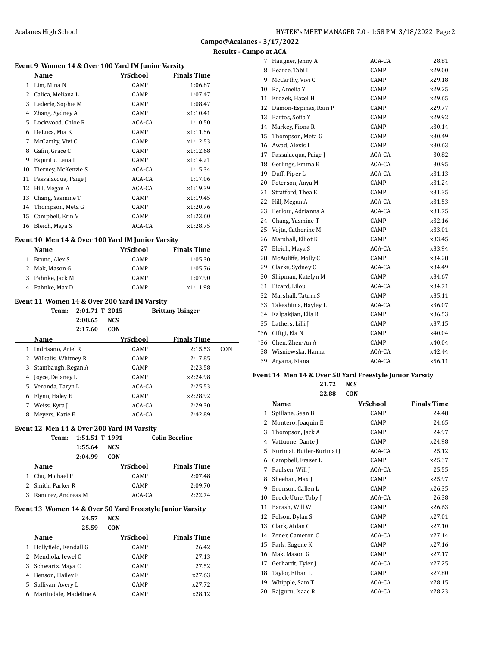| HY-TEK's MEET MANAGER 7.0 - 1:58 PM 3/18/2022 Page 2 |  |  |  |
|------------------------------------------------------|--|--|--|
|------------------------------------------------------|--|--|--|

**Campo@Acalanes - 3/17/2022 Results and ACA** 

|    | Event 9 Women 14 & Over 100 Yard IM Junior Varsity |                |            |              |                                                           |     |
|----|----------------------------------------------------|----------------|------------|--------------|-----------------------------------------------------------|-----|
|    | Name                                               |                |            | YrSchool     | <b>Finals Time</b>                                        |     |
|    | 1 Lim, Mina N                                      |                |            | CAMP         | 1:06.87                                                   |     |
|    | 2 Calica, Meliana L                                |                |            | CAMP         | 1:07.47                                                   |     |
|    | 3 Lederle, Sophie M                                |                |            | CAMP         | 1:08.47                                                   |     |
|    | 4 Zhang, Sydney A                                  |                |            | CAMP         | x1:10.41                                                  |     |
|    | 5 Lockwood, Chloe R                                |                |            | ACA-CA       | 1:10.50                                                   |     |
|    | 6 DeLuca, Mia K                                    |                |            | CAMP         | x1:11.56                                                  |     |
| 7  | McCarthy, Vivi C                                   |                |            | CAMP         | x1:12.53                                                  |     |
| 8  | Gafni, Grace C                                     |                |            | CAMP         | x1:12.68                                                  |     |
| 9  | Espiritu, Lena I                                   |                |            | CAMP         | x1:14.21                                                  |     |
| 10 | Tierney, McKenzie S                                |                |            | ACA-CA       | 1:15.34                                                   |     |
|    | 11 Passalacqua, Paige J                            |                |            | ACA-CA       | 1:17.06                                                   |     |
|    | 12 Hill, Megan A                                   |                |            | ACA-CA       | x1:19.39                                                  |     |
|    | 13 Chang, Yasmine T                                |                |            | CAMP         | x1:19.45                                                  |     |
|    | 14 Thompson, Meta G                                |                |            | CAMP         | x1:20.76                                                  |     |
| 15 | Campbell, Erin V                                   |                |            | CAMP         | x1:23.60                                                  |     |
| 16 |                                                    |                |            | ACA-CA       | x1:28.75                                                  |     |
|    | Bleich, Maya S                                     |                |            |              |                                                           |     |
|    | Event 10 Men 14 & Over 100 Yard IM Junior Varsity  |                |            |              |                                                           |     |
|    | Name                                               |                |            | YrSchool     | <b>Finals Time</b>                                        |     |
|    | 1 Bruno, Alex S                                    |                |            | CAMP         | 1:05.30                                                   |     |
|    | 2 Mak, Mason G                                     |                |            | CAMP         | 1:05.76                                                   |     |
|    | 3 Pahnke, Jack M                                   |                |            | CAMP         | 1:07.90                                                   |     |
|    |                                                    |                |            |              |                                                           |     |
| 4  | Pahnke, Max D                                      |                |            | CAMP         | x1:11.98                                                  |     |
|    | Event 11 Women 14 & Over 200 Yard IM Varsity       |                |            |              |                                                           |     |
|    | <b>Team:</b>                                       | 2:01.71 T 2015 | <b>NCS</b> |              | <b>Brittany Usinger</b>                                   |     |
|    |                                                    | 2:08.65        |            |              |                                                           |     |
|    |                                                    | 2:17.60        | <b>CON</b> |              |                                                           |     |
|    | Name                                               |                |            | YrSchool     | <b>Finals Time</b>                                        |     |
|    | 1 Indrisano, Ariel R                               |                |            | CAMP<br>CAMP | 2:15.53<br>2:17.85                                        |     |
| 3  | 2 Wilkalis, Whitney R                              |                |            | CAMP         | 2:23.58                                                   |     |
|    | Stambaugh, Regan A                                 |                |            | CAMP         | x2:24.98                                                  |     |
|    | 4 Joyce, Delaney L                                 |                |            |              |                                                           |     |
|    | 5 Veronda, Taryn L                                 |                |            | ACA-CA       | 2:25.53                                                   |     |
| 6  | Flynn, Haley E                                     |                |            | CAMP         | x2:28.92                                                  |     |
| 7  | Weiss, Kyra J                                      |                |            | ACA-CA       | 2:29.30                                                   |     |
| 8. | Meyers, Katie E                                    |                |            | ACA-CA       | 2:42.89                                                   |     |
|    | Event 12 Men 14 & Over 200 Yard IM Varsity         |                |            |              |                                                           |     |
|    | <b>Team:</b>                                       | 1:51.51 T 1991 |            |              | <b>Colin Beerline</b>                                     | CON |
|    |                                                    | 1:55.64        | <b>NCS</b> |              |                                                           |     |
|    |                                                    | 2:04.99        | <b>CON</b> |              |                                                           |     |
|    | Name                                               |                |            | YrSchool     | <b>Finals Time</b>                                        |     |
|    | 1 Chu, Michael P                                   |                |            | CAMP         | 2:07.48                                                   |     |
|    | 2 Smith, Parker R                                  |                |            | CAMP         | 2:09.70                                                   |     |
|    | 3 Ramirez, Andreas M                               |                |            | ACA-CA       | 2:22.74                                                   |     |
|    |                                                    |                |            |              | Event 13 Women 14 & Over 50 Yard Freestyle Junior Varsity |     |
|    |                                                    | 24.57          | <b>NCS</b> |              |                                                           |     |

| <b>Name</b>                 | YrSchool    | <b>Finals Time</b> |
|-----------------------------|-------------|--------------------|
| Hollyfield, Kendall G<br>1  | <b>CAMP</b> | 26.42              |
| 2 Mendiola, Jewel O         | <b>CAMP</b> | 27.13              |
| Schwartz, Maya C<br>3       | <b>CAMP</b> | 27.52              |
| Benson, Hailey E<br>4       | <b>CAMP</b> | x27.63             |
| Sullivan, Avery L<br>5      | <b>CAMP</b> | x27.72             |
| Martindale, Madeline A<br>6 | CAMP        | x28.12             |
|                             |             |                    |

| 7     | Haugner, Jenny A      | ACA-CA | 28.81  |
|-------|-----------------------|--------|--------|
|       | 8 Bearce, Tabi I      | CAMP   | x29.00 |
| 9     | McCarthy, Vivi C      | CAMP   | x29.18 |
| 10    | Ra, Amelia Y          | CAMP   | x29.25 |
| 11    | Krozek, Hazel H       | CAMP   | x29.65 |
| 12    | Damon-Espinas, Rain P | CAMP   | x29.77 |
| 13    | Bartos, Sofia Y       | CAMP   | x29.92 |
|       | 14 Markey, Fiona R    | CAMP   | x30.14 |
| 15    | Thompson, Meta G      | CAMP   | x30.49 |
|       | 16 Awad, Alexis I     | CAMP   | x30.63 |
| 17    | Passalacqua, Paige J  | ACA-CA | 30.82  |
| 18    | Gerlings, Emma E      | ACA-CA | 30.95  |
| 19    | Duff, Piper L         | ACA-CA | x31.13 |
| 20    | Peterson, Anya M      | CAMP   | x31.24 |
| 21    | Stratford, Thea E     | CAMP   | x31.35 |
|       | 22 Hill, Megan A      | ACA-CA | x31.53 |
| 23    | Berloui, Adrianna A   | ACA-CA | x31.75 |
| 24    | Chang, Yasmine T      | CAMP   | x32.16 |
| 25    | Vojta, Catherine M    | CAMP   | x33.01 |
|       | 26 Marshall, Elliot K | CAMP   | x33.45 |
| 27    | Bleich, Maya S        | ACA-CA | x33.94 |
| 28    | McAuliffe, Molly C    | CAMP   | x34.28 |
| 29    | Clarke, Sydney C      | ACA-CA | x34.49 |
| 30    | Shipman, Katelyn M    | CAMP   | x34.67 |
| 31    | Picard, Lilou         | ACA-CA | x34.71 |
| 32    | Marshall, Tatum S     | CAMP   | x35.11 |
| 33    | Takeshima, Hayley L   | ACA-CA | x36.07 |
| 34    | Kalpakjian, Ella R    | CAMP   | x36.53 |
| 35    | Lathers, Lilli J      | CAMP   | x37.15 |
| $*36$ | Giftgi, Ela N         | CAMP   | x40.04 |
|       | *36 Chen, Zhen-An A   | CAMP   | x40.04 |
| 38    | Wisniewska, Hanna     | ACA-CA | x42.44 |
| 39    | Aryana, Kiana         | ACA-CA | x56.11 |

# **Event 14 Men 14 & Over 50 Yard Freestyle Junior Varsity**

**21.72 NCS 22.88 CON**

|    | Name                      | YrSchool | <b>Finals Time</b> |
|----|---------------------------|----------|--------------------|
| 1  | Spillane, Sean B          | CAMP     | 24.48              |
| 2  | Montero, Joaquin E        | CAMP     | 24.65              |
| 3  | Thompson, Jack A          | CAMP     | 24.97              |
| 4  | Vattuone, Dante J         | CAMP     | x24.98             |
| 5  | Kurimai, Butler-Kurimai J | ACA-CA   | 25.12              |
| 6  | Campbell, Fraser L        | CAMP     | x25.37             |
| 7  | Paulsen, Will J           | ACA-CA   | 25.55              |
| 8  | Sheehan, Max J            | CAMP     | x25.97             |
| 9  | Bronson, Callen L         | CAMP     | x26.35             |
| 10 | Brock-Utne, Toby J        | ACA-CA   | 26.38              |
| 11 | Barash, Will W            | CAMP     | x26.63             |
| 12 | Felson, Dylan S           | CAMP     | x27.01             |
| 13 | Clark, Aidan C            | CAMP     | x27.10             |
| 14 | Zener, Cameron C          | ACA-CA   | x27.14             |
| 15 | Park, Eugene K            | CAMP     | x27.16             |
| 16 | Mak, Mason G              | CAMP     | x27.17             |
| 17 | Gerhardt, Tyler J         | ACA-CA   | x27.25             |
| 18 | Taylor, Ethan L           | CAMP     | x27.80             |
| 19 | Whipple, Sam T            | ACA-CA   | x28.15             |
| 20 | Rajguru, Isaac R          | ACA-CA   | x28.23             |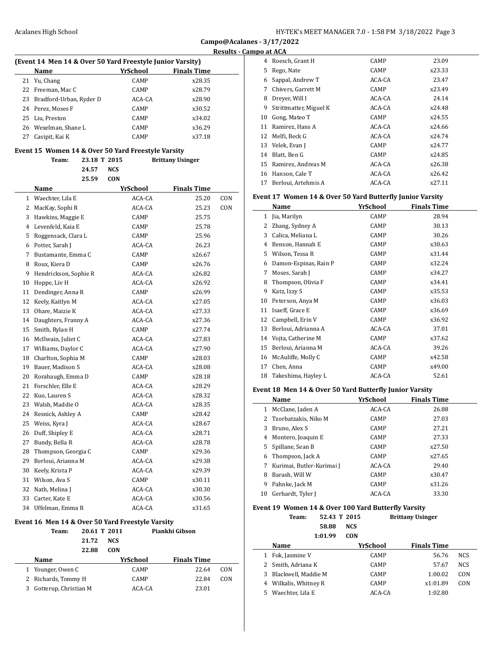**Campo@Acalanes - 3/17/2022 Results - Campo at ACA**

# **(Event 14 Men 14 & Over 50 Yard Freestyle Junior Varsity)**

| <b>Name</b>                | YrSchool    | <b>Finals Time</b> |
|----------------------------|-------------|--------------------|
| 21 Yu, Chang               | CAMP        | x28.35             |
| 22 Freeman, Mac C          | CAMP        | x28.79             |
| 23 Bradford-Urban, Ryder D | ACA-CA      | x28.90             |
| 24 Perez, Moses F          | CAMP        | x30.52             |
| 25 Liu, Preston            | CAMP        | x34.02             |
| 26 Wexelman, Shane L       | <b>CAMP</b> | x36.29             |
| Casipit, Kai K             | <b>CAMP</b> | x37.18             |

| Team:                   | 23.18 T 2015 |          | <b>Brittany Usinger</b> |            |
|-------------------------|--------------|----------|-------------------------|------------|
| 24.57                   | <b>NCS</b>   |          |                         |            |
| 25.59                   | <b>CON</b>   |          |                         |            |
| Name                    |              | YrSchool | <b>Finals Time</b>      |            |
| 1 Waechter, Lila E      |              | ACA-CA   | 25.20                   | CON        |
| 2 MacKay, Sophi R       |              | ACA-CA   | 25.23                   | <b>CON</b> |
| 3 Hawkins, Maggie E     |              | CAMP     | 25.75                   |            |
| 4 Levenfeld, Kaia E     |              | CAMP     | 25.78                   |            |
| 5 Roggensack, Clara L   |              | CAMP     | 25.96                   |            |
| 6 Potter, Sarah J       |              | ACA-CA   | 26.23                   |            |
| 7 Bustamante, Emma C    |              | CAMP     | x26.67                  |            |
| 8 Roux, Kiera D         |              | CAMP     | x26.76                  |            |
| 9 Hendrickson, Sophie R |              | ACA-CA   | x26.82                  |            |
| 10 Hoppe, Liv H         |              | ACA-CA   | x26.92                  |            |
| 11 Dendinger, Anna R    |              | CAMP     | x26.99                  |            |
| 12 Keely, Kaitlyn M     |              | ACA-CA   | x27.05                  |            |
| 13 Ohare, Maizie K      |              | ACA-CA   | x27.33                  |            |
| 14 Daughters, Franny A  |              | ACA-CA   | x27.36                  |            |
| 15 Smith, Rylan H       |              | CAMP     | x27.74                  |            |
| 16 McIlwain, Juliet C   |              | ACA-CA   | x27.83                  |            |
| 17 Williams, Daylor C   |              | ACA-CA   | x27.90                  |            |
| 18 Charlton, Sophia M   |              | CAMP     | x28.03                  |            |
| 19 Bauer, Madison S     |              | ACA-CA   | x28.08                  |            |
| 20 Rorabaugh, Emma D    |              | CAMP     | x28.18                  |            |
| 21 Forschler, Elle E    |              | ACA-CA   | x28.29                  |            |
| 22 Kuo, Lauren S        |              | ACA-CA   | x28.32                  |            |
| 23 Walsh, Maddie O      |              | ACA-CA   | x28.35                  |            |
| 24 Resnick, Ashley A    |              | CAMP     | x28.42                  |            |
| 25 Weiss, Kyra J        |              | ACA-CA   | x28.67                  |            |
| 26 Duff, Shipley E      |              | ACA-CA   | x28.71                  |            |
| 27 Bundy, Bella R       |              | ACA-CA   | x28.78                  |            |
| 28 Thompson, Georgia C  |              | CAMP     | x29.36                  |            |
| 29 Berloui, Arianna M   |              | ACA-CA   | x29.38                  |            |
| 30 Keely, Krista P      |              | ACA-CA   | x29.39                  |            |
| 31 Wilson, Ava S        |              | CAMP     | x30.11                  |            |
| 32 Nath, Melina J       |              | ACA-CA   | x30.30                  |            |
| 33 Carter, Kate E       |              | ACA-CA   | x30.56                  |            |
| 34 Uffelman, Emma R     |              | ACA-CA   | x31.65                  |            |

# **Event 16 Men 14 & Over 50 Yard Freestyle Varsity**

|    | Team:                 | 20.61 T 2011 |            | Piankhi Gibson     |     |  |
|----|-----------------------|--------------|------------|--------------------|-----|--|
|    |                       | 21.72        | <b>NCS</b> |                    |     |  |
|    |                       | 22.88        | <b>CON</b> |                    |     |  |
|    | <b>Name</b>           |              | YrSchool   | <b>Finals Time</b> |     |  |
| 1  | Younger, Owen C       |              | CAMP       | 22.64              | CON |  |
|    | 2 Richards, Tommy H   |              | CAMP       | 22.84              | CON |  |
| 3. | Gotterup, Christian M |              | ACA-CA     | 23.01              |     |  |
|    |                       |              |            |                    |     |  |

|    | .                      |             |        |
|----|------------------------|-------------|--------|
|    | 4 Roesch, Grant H      | CAMP        | 23.09  |
| 5  | Rego, Nate             | CAMP        | x23.33 |
| 6  | Sappal, Andrew T       | ACA-CA      | 23.47  |
| 7  | Chivers, Garrett M     | <b>CAMP</b> | x23.49 |
| 8  | Dreyer, Will I         | ACA-CA      | 24.14  |
| 9  | Strittmatter, Miguel K | ACA-CA      | x24.48 |
| 10 | Gong, Mateo T          | CAMP        | x24.55 |
| 11 | Ramirez, Hans A        | ACA-CA      | x24.66 |
| 12 | Melfi, Beck G          | ACA-CA      | x24.74 |
|    | 13 Velek, Evan J       | CAMP        | x24.77 |
| 14 | Blatt, Ben G           | CAMP        | x24.85 |
|    | 15 Ramirez, Andreas M  | ACA-CA      | x26.38 |
| 16 | Hanson, Cale T         | ACA-CA      | x26.42 |
| 17 | Berloui, Artehmis A    | ACA-CA      | x27.11 |
|    |                        |             |        |

# **Event 17 Women 14 & Over 50 Yard Butterfly Junior Varsity**

|    | Name                  | YrSchool | <b>Finals Time</b> |
|----|-----------------------|----------|--------------------|
| 1  | Jia, Marilyn          | CAMP     | 28.94              |
| 2  | Zhang, Sydney A       | CAMP     | 30.13              |
| 3  | Calica, Meliana L     | CAMP     | 30.26              |
| 4  | Benson, Hannah E      | CAMP     | x30.63             |
| 5  | Wilson, Tessa R       | CAMP     | x31.44             |
| 6  | Damon-Espinas, Rain P | CAMP     | x32.24             |
| 7  | Moses, Sarah J        | CAMP     | x34.27             |
| 8  | Thompson, Olivia F    | CAMP     | x34.41             |
| 9  | Katz, Izzy S          | CAMP     | x35.53             |
| 10 | Peterson, Anya M      | CAMP     | x36.03             |
| 11 | Isaeff, Grace E       | CAMP     | x36.69             |
| 12 | Campbell, Erin V      | CAMP     | x36.92             |
| 13 | Berloui, Adrianna A   | ACA-CA   | 37.01              |
| 14 | Vojta, Catherine M    | CAMP     | x37.62             |
| 15 | Berloui, Arianna M    | ACA-CA   | 39.26              |
| 16 | McAuliffe, Molly C    | CAMP     | x42.58             |
| 17 | Chen, Anna            | CAMP     | x49.00             |
| 18 | Takeshima, Hayley L   | ACA-CA   | 52.61              |
|    |                       |          |                    |

# **Event 18 Men 14 & Over 50 Yard Butterfly Junior Varsity**

|    | Name                      | YrSchool | <b>Finals Time</b> |  |
|----|---------------------------|----------|--------------------|--|
| 1  | McClane, Jaden A          | ACA-CA   | 26.88              |  |
|    | 2 Tzorbatzakis, Niko M    | CAMP     | 27.03              |  |
| 3  | Bruno, Alex S             | CAMP     | 27.21              |  |
| 4  | Montero, Joaquin E        | CAMP     | 27.33              |  |
|    | 5 Spillane, Sean B        | CAMP     | x27.50             |  |
| 6  | Thompson, Jack A          | CAMP     | x27.65             |  |
| 7  | Kurimai, Butler-Kurimai J | ACA-CA   | 29.40              |  |
| 8  | Barash, Will W            | CAMP     | x30.47             |  |
| 9  | Pahnke, Jack M            | CAMP     | x31.26             |  |
| 10 | Gerhardt, Tyler J         | ACA-CA   | 33.30              |  |

# **Event 19 Women 14 & Over 100 Yard Butterfly Varsity**

| <b>Team:</b> | 52.43 T 2015 | <b>Brittany Usinger</b> |
|--------------|--------------|-------------------------|
|              | 58.88 NCS    |                         |
|              | 1:01.99 CON  |                         |

| <b>Name</b>           | YrSchool    | <b>Finals Time</b> |            |
|-----------------------|-------------|--------------------|------------|
| Fok, Jasmine V<br>1   | <b>CAMP</b> | 56.76              | <b>NCS</b> |
| 2 Smith, Adriana K    | <b>CAMP</b> | 57.67              | <b>NCS</b> |
| 3 Blackwell, Maddie M | <b>CAMP</b> | 1:00.02            | CON        |
| 4 Wilkalis, Whitney R | <b>CAMP</b> | x1:01.89           | CON        |
| 5 Waechter, Lila E    | ACA-CA      | 1:02.80            |            |
|                       |             |                    |            |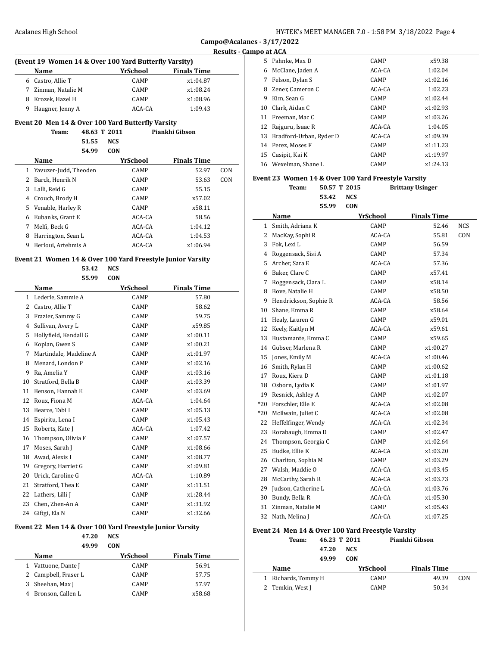$\overline{a}$ 

#### **Results - Campo at ACA**

| (Event 19 Women 14 & Over 100 Yard Butterfly Varsity)<br><b>Finals Time</b><br>YrSchool<br><b>Name</b> |                   |             |          |  |
|--------------------------------------------------------------------------------------------------------|-------------------|-------------|----------|--|
|                                                                                                        |                   |             |          |  |
| 7                                                                                                      | Zinman, Natalie M | <b>CAMP</b> | x1:08.24 |  |
|                                                                                                        | 8 Krozek, Hazel H | <b>CAMP</b> | x1:08.96 |  |
| 9                                                                                                      | Haugner, Jenny A  | ACA-CA      | 1:09.43  |  |

## **Event 20 Men 14 & Over 100 Yard Butterfly Varsity**

| Piankhi Gibson<br>48.63 T 2011<br>Team: |
|-----------------------------------------|
|-----------------------------------------|

**51.55 NCS 54.99 CON**

|    | Name                    | YrSchool    | <b>Finals Time</b> |     |
|----|-------------------------|-------------|--------------------|-----|
|    | 1 Yavuzer-Judd, Theoden | <b>CAMP</b> | 52.97              | CON |
| 2  | Barck, Henrik N         | CAMP        | 53.63              | CON |
| 3  | Lalli, Reid G           | CAMP        | 55.15              |     |
| 4  | Crouch, Brody H         | <b>CAMP</b> | x57.02             |     |
| 5. | Venable, Harley R       | CAMP        | x58.11             |     |
| 6  | Eubanks, Grant E        | ACA-CA      | 58.56              |     |
| 7  | Melfi, Beck G           | ACA-CA      | 1:04.12            |     |
| 8  | Harrington, Sean L      | ACA-CA      | 1:04.53            |     |
| 9  | Berloui. Artehmis A     | ACA-CA      | x1:06.94           |     |

|    | 53.42<br>55.99         | <b>NCS</b><br><b>CON</b> |                    |
|----|------------------------|--------------------------|--------------------|
|    | Name                   | YrSchool                 | <b>Finals Time</b> |
|    | 1 Lederle, Sammie A    | CAMP                     | 57.80              |
|    | 2 Castro, Allie T      | CAMP                     | 58.62              |
|    | 3 Frazier, Sammy G     | CAMP                     | 59.75              |
| 4  | Sullivan, Avery L      | CAMP                     | x59.85             |
| 5. | Hollyfield, Kendall G  | CAMP                     | x1:00.11           |
|    | 6 Koplan, Gwen S       | CAMP                     | x1:00.21           |
| 7  | Martindale, Madeline A | CAMP                     | x1:01.97           |
| 8. | Menard, London P       | CAMP                     | x1:02.16           |
|    | 9 Ra, Amelia Y         | CAMP                     | x1:03.16           |
| 10 | Stratford, Bella B     | CAMP                     | x1:03.39           |
|    | 11 Benson, Hannah E    | CAMP                     | x1:03.69           |
|    | 12 Roux, Fiona M       | ACA-CA                   | 1:04.64            |
| 13 | Bearce, Tabi I         | <b>CAMP</b>              | x1:05.13           |
|    | 14 Espiritu, Lena I    | CAMP                     | x1:05.43           |
|    | 15 Roberts, Kate J     | ACA-CA                   | 1:07.42            |
|    | 16 Thompson, Olivia F  | CAMP                     | x1:07.57           |
| 17 | Moses, Sarah J         | CAMP                     | x1:08.66           |
| 18 | Awad, Alexis I         | CAMP                     | x1:08.77           |
|    | 19 Gregory, Harriet G  | CAMP                     | x1:09.81           |
| 20 | Urick, Caroline G      | ACA-CA                   | 1:10.89            |
| 21 | Stratford, Thea E      | CAMP                     | x1:11.51           |
|    | 22 Lathers, Lilli J    | CAMP                     | x1:28.44           |
| 23 | Chen, Zhen-An A        | CAMP                     | x1:31.92           |
|    | 24 Giftgi, Ela N       | CAMP                     | x1:32.66           |

# **49.99 CON**

 $\equiv$ 

| <b>Name</b>          | YrSchool    | <b>Finals Time</b> |  |
|----------------------|-------------|--------------------|--|
| 1 Vattuone, Dante J  | <b>CAMP</b> | 56.91              |  |
| 2 Campbell, Fraser L | <b>CAMP</b> | 57.75              |  |
| Sheehan, Max J<br>3  | <b>CAMP</b> | 57.97              |  |
| 4 Bronson, Callen L  | <b>CAMP</b> | x58.68             |  |
|                      |             |                    |  |

| 5. | Pahnke, Max D           | CAMP        | x59.38   |
|----|-------------------------|-------------|----------|
| 6  | McClane, Jaden A        | ACA-CA      | 1:02.04  |
| 7  | Felson, Dylan S         | <b>CAMP</b> | x1:02.16 |
| 8  | Zener, Cameron C        | ACA-CA      | 1:02.23  |
| 9  | Kim, Sean G             | CAMP        | x1:02.44 |
| 10 | Clark, Aidan C          | CAMP        | x1:02.93 |
| 11 | Freeman, Mac C          | <b>CAMP</b> | x1:03.26 |
| 12 | Rajguru, Isaac R        | ACA-CA      | 1:04.05  |
| 13 | Bradford-Urban, Ryder D | ACA-CA      | x1:09.39 |
| 14 | Perez, Moses F          | CAMP        | x1:11.23 |
| 15 | Casipit, Kai K          | CAMP        | x1:19.97 |
|    | 16 Wexelman, Shane L    | <b>CAMP</b> | x1:24.13 |

#### **Event 23 Women 14 & Over 100 Yard Freestyle Varsity**

**Team: 50.57 T 2015 Brittany Usinger 53.42 NCS 55.99 CON**

|       | Name                  | <b>YrSchool</b> | <b>Finals Time</b> |            |
|-------|-----------------------|-----------------|--------------------|------------|
| 1     | Smith, Adriana K      | CAMP            | 52.46              | <b>NCS</b> |
| 2     | MacKay, Sophi R       | ACA-CA          | 55.81              | CON        |
| 3     | Fok, Lexi L           | CAMP            | 56.59              |            |
| 4     | Roggensack, Sisi A    | CAMP            | 57.34              |            |
| 5     | Archer, Sara E        | ACA-CA          | 57.36              |            |
| 6     | Baker, Clare C        | CAMP            | x57.41             |            |
| 7     | Roggensack, Clara L   | CAMP            | x58.14             |            |
| 8     | Bove, Natalie H       | CAMP            | x58.50             |            |
| 9     | Hendrickson, Sophie R | ACA-CA          | 58.56              |            |
| 10    | Shane, Emma R         | CAMP            | x58.64             |            |
| 11    | Healy, Lauren G       | CAMP            | x59.01             |            |
| 12    | Keely, Kaitlyn M      | ACA-CA          | x59.61             |            |
| 13    | Bustamante, Emma C    | CAMP            | x59.65             |            |
| 14    | Gubser, Marlena R     | CAMP            | x1:00.27           |            |
| 15    | Jones, Emily M        | ACA-CA          | x1:00.46           |            |
| 16    | Smith, Rylan H        | CAMP            | x1:00.62           |            |
| 17    | Roux, Kiera D         | CAMP            | x1:01.18           |            |
| 18    | Osborn, Lydia K       | CAMP            | x1:01.97           |            |
| 19    | Resnick, Ashley A     | CAMP            | x1:02.07           |            |
| $*20$ | Forschler, Elle E     | ACA-CA          | x1:02.08           |            |
| $*20$ | McIlwain, Juliet C    | ACA-CA          | x1:02.08           |            |
| 22    | Heffelfinger, Wendy   | ACA-CA          | x1:02.34           |            |
| 23    | Rorabaugh, Emma D     | CAMP            | x1:02.47           |            |
| 24    | Thompson, Georgia C   | CAMP            | x1:02.64           |            |
| 25    | Budke, Ellie K        | ACA-CA          | x1:03.20           |            |
| 26    | Charlton, Sophia M    | CAMP            | x1:03.29           |            |
| 27    | Walsh, Maddie O       | ACA-CA          | x1:03.45           |            |
| 28    | McCarthy, Sarah R     | ACA-CA          | x1:03.73           |            |
| 29    | Judson, Catherine L   | ACA-CA          | x1:03.76           |            |
| 30    | Bundy, Bella R        | ACA-CA          | x1:05.30           |            |
| 31    | Zinman, Natalie M     | CAMP            | x1:05.43           |            |
| 32    | Nath, Melina J        | ACA-CA          | x1:07.25           |            |

## **Event 24 Men 14 & Over 100 Yard Freestyle Varsity**

| Team:               |       | 46.23 T 2011 | Piankhi Gibson     |     |
|---------------------|-------|--------------|--------------------|-----|
|                     | 47.20 | NCS.         |                    |     |
|                     | 49.99 | <b>CON</b>   |                    |     |
| Name                |       | YrSchool     | <b>Finals Time</b> |     |
|                     |       |              |                    |     |
| 1 Richards, Tommy H |       | CAMP         | 49.39              | CON |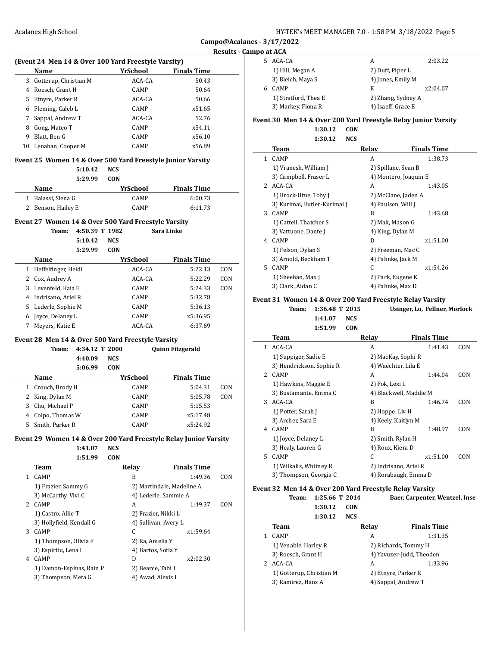#### **Results - Campo at ACA**

| 5. | ACA-CA               | А                  | 2:03.22  |
|----|----------------------|--------------------|----------|
|    | 1) Hill, Megan A     | 2) Duff, Piper L   |          |
|    | 3) Bleich, Maya S    | 4) Jones, Emily M  |          |
| 6  | CAMP                 | E                  | x2:04.07 |
|    | 1) Stratford, Thea E | 2) Zhang, Sydney A |          |
|    | 3) Markey, Fiona R   | 4) Isaeff, Grace E |          |

#### **Event 30 Men 14 & Over 200 Yard Freestyle Relay Junior Varsity 1:30.12 CON**

**1:30.12 NCS**

|    | Team                         | Relay              | <b>Finals Time</b>    |  |
|----|------------------------------|--------------------|-----------------------|--|
| 1  | CAMP                         | A                  | 1:38.73               |  |
|    | 1) Vranesh, William J        |                    | 2) Spillane, Sean B   |  |
|    | 3) Campbell, Fraser L        |                    | 4) Montero, Joaquin E |  |
| 2  | ACA-CA                       | A                  | 1:43.05               |  |
|    | 1) Brock-Utne, Toby J        |                    | 2) McClane, Jaden A   |  |
|    | 3) Kurimai, Butler-Kurimai J | 4) Paulsen, Will J |                       |  |
| 3  | <b>CAMP</b>                  | B                  | 1:43.68               |  |
|    | 1) Cattell, Thatcher S       | 2) Mak, Mason G    |                       |  |
|    | 3) Vattuone, Dante J         | 4) King, Dylan M   |                       |  |
| 4  | <b>CAMP</b>                  | D                  | x1:51.00              |  |
|    | 1) Felson, Dylan S           |                    | 2) Freeman, Mac C     |  |
|    | 3) Arnold, Beckham T         | 4) Pahnke, Jack M  |                       |  |
| 5. | CAMP                         | C                  | x1:54.26              |  |
|    | 1) Sheehan, Max J            | 2) Park, Eugene K  |                       |  |
|    | 3) Clark, Aidan C            | 4) Pahnke, Max D   |                       |  |

#### **Event 31 Women 14 & Over 200 Yard Freestyle Relay Varsity**

**Team: 1:36.48 T 2015 Usinger, Lo, Fellner, Morlock 1:41.07 NCS 1:51.99 CON**

| Team                     | Relay          | <b>Finals Time</b> |                                                                                                                                                                                                         |
|--------------------------|----------------|--------------------|---------------------------------------------------------------------------------------------------------------------------------------------------------------------------------------------------------|
| ACA-CA                   | A              | 1:41.43            | CON                                                                                                                                                                                                     |
| 1) Suppiger, Sadie E     |                |                    |                                                                                                                                                                                                         |
| 3) Hendrickson, Sophie R |                |                    |                                                                                                                                                                                                         |
| <b>CAMP</b>              | A              | 1:44.04            | CON                                                                                                                                                                                                     |
| 1) Hawkins, Maggie E     | 2) Fok, Lexi L |                    |                                                                                                                                                                                                         |
| 3) Bustamante, Emma C    |                |                    |                                                                                                                                                                                                         |
| ACA-CA                   | B              | 1:46.74            | CON                                                                                                                                                                                                     |
| 1) Potter, Sarah J       |                |                    |                                                                                                                                                                                                         |
| 3) Archer, Sara E        |                |                    |                                                                                                                                                                                                         |
| <b>CAMP</b>              | B              | 1:48.97            | CON                                                                                                                                                                                                     |
| 1) Joyce, Delaney L      |                |                    |                                                                                                                                                                                                         |
| 3) Healy, Lauren G       |                |                    |                                                                                                                                                                                                         |
| <b>CAMP</b>              | C              | x1:51.00           | CON                                                                                                                                                                                                     |
| 1) Wilkalis, Whitney R   |                |                    |                                                                                                                                                                                                         |
| 3) Thompson, Georgia C   |                |                    |                                                                                                                                                                                                         |
|                          |                |                    | 2) MacKay, Sophi R<br>4) Waechter, Lila E<br>4) Blackwell, Maddie M<br>2) Hoppe, Liv H<br>4) Keely, Kaitlyn M<br>2) Smith, Rylan H<br>4) Roux, Kiera D<br>2) Indrisano, Ariel R<br>4) Rorabaugh, Emma D |

#### **Event 32 Men 14 & Over 200 Yard Freestyle Relay Varsity Team: 1:25.66 T 2014 Baer, Carpenter, Wentzel, Inse**

 $\overline{a}$ 

| 1:30.12                  | CON        |                          |  |
|--------------------------|------------|--------------------------|--|
| 1:30.12                  | <b>NCS</b> |                          |  |
| Team                     | Relay      | <b>Finals Time</b>       |  |
| <b>CAMP</b>              | A          | 1:31.35                  |  |
| 1) Venable, Harley R     |            | 2) Richards, Tommy H     |  |
| 3) Roesch, Grant H       |            | 4) Yavuzer-Judd, Theoden |  |
| ACA-CA                   | A          | 1:33.96                  |  |
| 1) Gotterup, Christian M |            | 2) Etnyre, Parker R      |  |
| 3) Ramirez, Hans A       |            | 4) Sappal, Andrew T      |  |

## **Event 25 Women 14 & Over 500 Yard Freestyle Junior Varsity 5:10.42 NCS 5:29.99 CON**

| Name               | YrSchool    | <b>Finals Time</b> |  |
|--------------------|-------------|--------------------|--|
| 1 Balassi. Siena G | <b>CAMP</b> | 6:00.73            |  |
| 2 Benson, Hailey E | <b>CAMP</b> | 6:11.73            |  |

#### **Event 27 Women 14 & Over 500 Yard Freestyle Varsity**

**(Event 24 Men 14 & Over 100 Yard Freestyle Varsity)**

**Name** *YrSchool* **<b>Finals Time** 3 Gotterup, Christian M ACA-CA 50.43 4 Roesch, Grant H CAMP 50.64 5 Etnyre, Parker R ACA-CA 50.66 6 Fleming, Caleb L CAMP x51.65 7 Sappal, Andrew T ACA-CA 52.76 8 Gong, Mateo T CAMP  $X54.11$ 9 Blatt, Ben G CAMP x56.10 10 Lenahan, Cooper M CAMP x56.89

> **Team: 4:50.39 T 1982 Sara Linke 5:10.42 NCS 5:29.99 CON**

| Name                     | YrSchool    | <b>Finals Time</b> |     |
|--------------------------|-------------|--------------------|-----|
| Heffelfinger, Heidi<br>1 | ACA-CA      | 5:22.13            | CON |
| 2 Cox, Audrey A          | ACA-CA      | 5:22.29            | CON |
| 3 Levenfeld, Kaia E      | <b>CAMP</b> | 5:24.33            | CON |
| Indrisano, Ariel R       | <b>CAMP</b> | 5:32.78            |     |
| Lederle, Sophie M<br>5.  | <b>CAMP</b> | 5:36.13            |     |
| Joyce, Delaney L         | <b>CAMP</b> | x5:36.95           |     |
| Meyers, Katie E          | ACA-CA      | 6:37.69            |     |

#### **Event 28 Men 14 & Over 500 Yard Freestyle Varsity**

|   | Team:           | 4:34.12 T 2000 |            |             | <b>Quinn Fitzgerald</b> |     |
|---|-----------------|----------------|------------|-------------|-------------------------|-----|
|   |                 | 4:40.09        | <b>NCS</b> |             |                         |     |
|   |                 | 5:06.99        | <b>CON</b> |             |                         |     |
|   | Name            |                |            | YrSchool    | <b>Finals Time</b>      |     |
| 1 | Crouch, Brody H |                |            | CAMP        | 5:04.31                 | CON |
| 2 | King, Dylan M   |                |            | CAMP        | 5:05.78                 | CON |
| 3 | Chu, Michael P  |                |            | <b>CAMP</b> | 5:15.53                 |     |
| 4 | Colpo, Thomas W |                |            | CAMP        | x5:17.48                |     |
| 5 | Smith, Parker R |                |            | CAMP        | x5:24.92                |     |

#### **Event 29 Women 14 & Over 200 Yard Freestyle Relay Junior Varsity**

**1:41.07 NCS**

**1:51.99 CON**

|             | Team                     | Relav                     | <b>Finals Time</b> |     |
|-------------|--------------------------|---------------------------|--------------------|-----|
| 1           | <b>CAMP</b>              | B                         | 1:49.36            | CON |
|             | 1) Frazier, Sammy G      | 2) Martindale, Madeline A |                    |     |
|             | 3) McCarthy, Vivi C      | 4) Lederle, Sammie A      |                    |     |
| $2^{\circ}$ | <b>CAMP</b>              | A                         | 1:49.37            | CON |
|             | 1) Castro, Allie T       | 2) Frazier, Nikki L       |                    |     |
|             | 3) Hollyfield, Kendall G | 4) Sullivan, Avery L      |                    |     |
| 3           | CAMP                     | C                         | x1:59.64           |     |
|             | 1) Thompson, Olivia F    | 2) Ra, Amelia Y           |                    |     |
|             | 3) Espiritu, Lena I      | 4) Bartos, Sofia Y        |                    |     |
| 4           | CAMP                     | D                         | x2:02.30           |     |
|             | 1) Damon-Espinas, Rain P | 2) Bearce, Tabi I         |                    |     |
|             | 3) Thompson, Meta G      | 4) Awad, Alexis I         |                    |     |
|             |                          |                           |                    |     |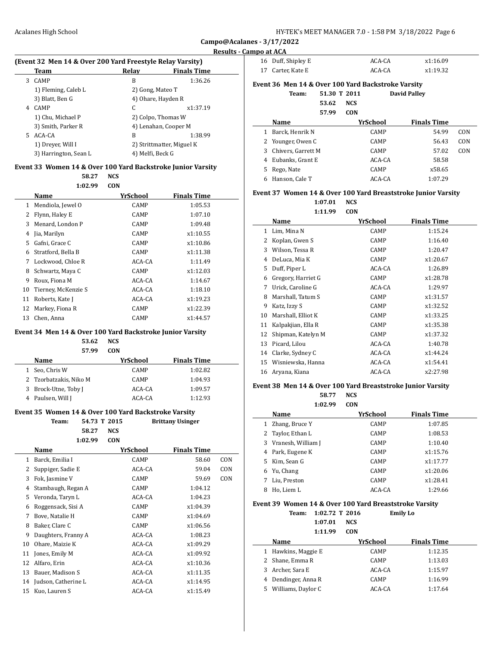$\overline{a}$ 

#### **Results - Campo at ACA**

#### **(Event 32 Men 14 & Over 200 Yard Freestyle Relay Varsity)**

|   | Team                  | Relav            | <b>Finals Time</b>        |
|---|-----------------------|------------------|---------------------------|
| 3 | <b>CAMP</b>           | B                | 1:36.26                   |
|   | 1) Fleming, Caleb L   | 2) Gong, Mateo T |                           |
|   | 3) Blatt, Ben G       |                  | 4) Ohare, Hayden R        |
| 4 | <b>CAMP</b>           | C                | x1:37.19                  |
|   | 1) Chu, Michael P     |                  | 2) Colpo, Thomas W        |
|   | 3) Smith, Parker R    |                  | 4) Lenahan, Cooper M      |
| 5 | ACA-CA                | B                | 1:38.99                   |
|   | 1) Dreyer, Will I     |                  | 2) Strittmatter, Miguel K |
|   | 3) Harrington, Sean L | 4) Melfi, Beck G |                           |

### **Event 33 Women 14 & Over 100 Yard Backstroke Junior Varsity**

**58.27 NCS 1:02.99 CON**

|    | Name                | YrSchool    | <b>Finals Time</b> |  |
|----|---------------------|-------------|--------------------|--|
| 1  | Mendiola, Jewel O   | CAMP        | 1:05.53            |  |
| 2  | Flynn, Haley E      | CAMP        | 1:07.10            |  |
| 3  | Menard, London P    | CAMP        | 1:09.48            |  |
| 4  | Jia, Marilyn        | CAMP        | x1:10.55           |  |
| 5  | Gafni, Grace C      | <b>CAMP</b> | x1:10.86           |  |
| 6  | Stratford, Bella B  | <b>CAMP</b> | x1:11.38           |  |
| 7  | Lockwood, Chloe R   | ACA-CA      | 1:11.49            |  |
| 8  | Schwartz, Maya C    | CAMP        | x1:12.03           |  |
| 9  | Roux, Fiona M       | ACA-CA      | 1:14.67            |  |
| 10 | Tierney, McKenzie S | ACA-CA      | 1:18.10            |  |
| 11 | Roberts, Kate J     | ACA-CA      | x1:19.23           |  |
| 12 | Markey, Fiona R     | CAMP        | x1:22.39           |  |
| 13 | Chen, Anna          | CAMP        | x1:44.57           |  |

### **Event 34 Men 14 & Over 100 Yard Backstroke Junior Varsity**

# **53.62 NCS**

| <b>CON</b>  |                    |
|-------------|--------------------|
| YrSchool    | <b>Finals Time</b> |
| <b>CAMP</b> | 1:02.82            |
| <b>CAMP</b> | 1:04.93            |
| ACA-CA      | 1:09.57            |
| ACA-CA      | 1:12.93            |
|             |                    |

## **Event 35 Women 14 & Over 100 Yard Backstroke Varsity**

|    | Team:               | 54.73 T 2015 | <b>Brittany Usinger</b> |                    |     |
|----|---------------------|--------------|-------------------------|--------------------|-----|
|    | 58.27               | <b>NCS</b>   |                         |                    |     |
|    | 1:02.99             | <b>CON</b>   |                         |                    |     |
|    | Name                |              | YrSchool                | <b>Finals Time</b> |     |
| 1  | Barck, Emilia I     |              | CAMP                    | 58.60              | CON |
| 2  | Suppiger, Sadie E   |              | ACA-CA                  | 59.04              | CON |
| 3  | Fok, Jasmine V      |              | CAMP                    | 59.69              | CON |
| 4  | Stambaugh, Regan A  |              | CAMP                    | 1:04.12            |     |
| 5  | Veronda, Taryn L    |              | ACA-CA                  | 1:04.23            |     |
| 6  | Roggensack, Sisi A  |              | CAMP                    | x1:04.39           |     |
| 7  | Bove, Natalie H     |              | CAMP                    | x1:04.69           |     |
| 8  | Baker, Clare C      |              | CAMP                    | x1:06.56           |     |
| 9  | Daughters, Franny A |              | ACA-CA                  | 1:08.23            |     |
| 10 | Ohare, Maizie K     |              | ACA-CA                  | x1:09.29           |     |
| 11 | Jones, Emily M      |              | ACA-CA                  | x1:09.92           |     |
| 12 | Alfaro, Erin        |              | ACA-CA                  | x1:10.36           |     |
| 13 | Bauer, Madison S    |              | ACA-CA                  | x1:11.35           |     |
| 14 | Judson, Catherine L |              | ACA-CA                  | x1:14.95           |     |
| 15 | Kuo, Lauren S       |              | ACA-CA                  | x1:15.49           |     |

| 16 Duff, Shipley E | ACA-CA | x1:16.09 |
|--------------------|--------|----------|
| 17 Carter, Kate E  | ACA-CA | x1:19.32 |

## **Event 36 Men 14 & Over 100 Yard Backstroke Varsity**

**Team:** 

| 51.30 T 2011 | <b>David Palley</b> |
|--------------|---------------------|
| 53.62 NCS    |                     |
| 57.99 CON    |                     |

|    | Name               | YrSchool    | <b>Finals Time</b> |     |
|----|--------------------|-------------|--------------------|-----|
| 1  | Barck, Henrik N    | <b>CAMP</b> | 54.99              | CON |
|    | 2 Younger, Owen C  | <b>CAMP</b> | 56.43              | CON |
| 3  | Chivers, Garrett M | <b>CAMP</b> | 57.02              | CON |
| 4  | Eubanks, Grant E   | ACA-CA      | 58.58              |     |
| 5. | Rego, Nate         | <b>CAMP</b> | x58.65             |     |
| 6  | Hanson, Cale T     | ACA-CA      | 1:07.29            |     |

## **Event 37 Women 14 & Over 100 Yard Breaststroke Junior Varsity**

**1:07.01 NCS 1:11.99 CON**

|    | .                  |          |                    |  |
|----|--------------------|----------|--------------------|--|
|    | Name               | YrSchool | <b>Finals Time</b> |  |
| 1  | Lim, Mina N        | CAMP     | 1:15.24            |  |
| 2  | Koplan, Gwen S     | CAMP     | 1:16.40            |  |
| 3  | Wilson, Tessa R    | CAMP     | 1:20.47            |  |
| 4  | DeLuca, Mia K      | CAMP     | x1:20.67           |  |
| 5  | Duff, Piper L      | ACA-CA   | 1:26.89            |  |
| 6  | Gregory, Harriet G | CAMP     | x1:28.78           |  |
| 7  | Urick, Caroline G  | ACA-CA   | 1:29.97            |  |
| 8  | Marshall, Tatum S  | CAMP     | x1:31.57           |  |
| 9  | Katz, Izzy S       | CAMP     | x1:32.52           |  |
| 10 | Marshall, Elliot K | CAMP     | x1:33.25           |  |
| 11 | Kalpakjian, Ella R | CAMP     | x1:35.38           |  |
| 12 | Shipman, Katelyn M | CAMP     | x1:37.32           |  |
| 13 | Picard, Lilou      | ACA-CA   | 1:40.78            |  |
| 14 | Clarke, Sydney C   | ACA-CA   | x1:44.24           |  |
| 15 | Wisniewska, Hanna  | ACA-CA   | x1:54.41           |  |
| 16 | Aryana, Kiana      | ACA-CA   | x2:27.98           |  |
|    |                    |          |                    |  |

#### **Event 38 Men 14 & Over 100 Yard Breaststroke Junior Varsity**

|    | 58.77              | <b>NCS</b>  |                    |  |
|----|--------------------|-------------|--------------------|--|
|    | 1:02.99            | <b>CON</b>  |                    |  |
|    | Name               | YrSchool    | <b>Finals Time</b> |  |
|    | Zhang, Bruce Y     | <b>CAMP</b> | 1:07.85            |  |
|    | Taylor, Ethan L    | <b>CAMP</b> | 1:08.53            |  |
| 3  | Vranesh, William J | <b>CAMP</b> | 1:10.40            |  |
| 4  | Park, Eugene K     | CAMP        | x1:15.76           |  |
| 5. | Kim, Sean G        | <b>CAMP</b> | x1:17.77           |  |
| 6  | Yu, Chang          | <b>CAMP</b> | x1:20.06           |  |
|    | Liu, Preston       | <b>CAMP</b> | x1:28.41           |  |
| 8  | Ho, Liem L         | ACA-CA      | 1:29.66            |  |

#### **Event 39 Women 14 & Over 100 Yard Breaststroke Varsity**

**Team: 1:02.72 T 2016 Emily Lo 1:07.01 NCS**

**1:11.99 CON**

|   | Name                | YrSchool    | <b>Finals Time</b> |
|---|---------------------|-------------|--------------------|
|   | 1 Hawkins, Maggie E | <b>CAMP</b> | 1:12.35            |
|   | 2 Shane, Emma R     | <b>CAMP</b> | 1:13.03            |
|   | Archer, Sara E      | ACA-CA      | 1:15.97            |
|   | Dendinger, Anna R   | <b>CAMP</b> | 1:16.99            |
| 5 | Williams, Daylor C  | ACA-CA      | 1:17.64            |